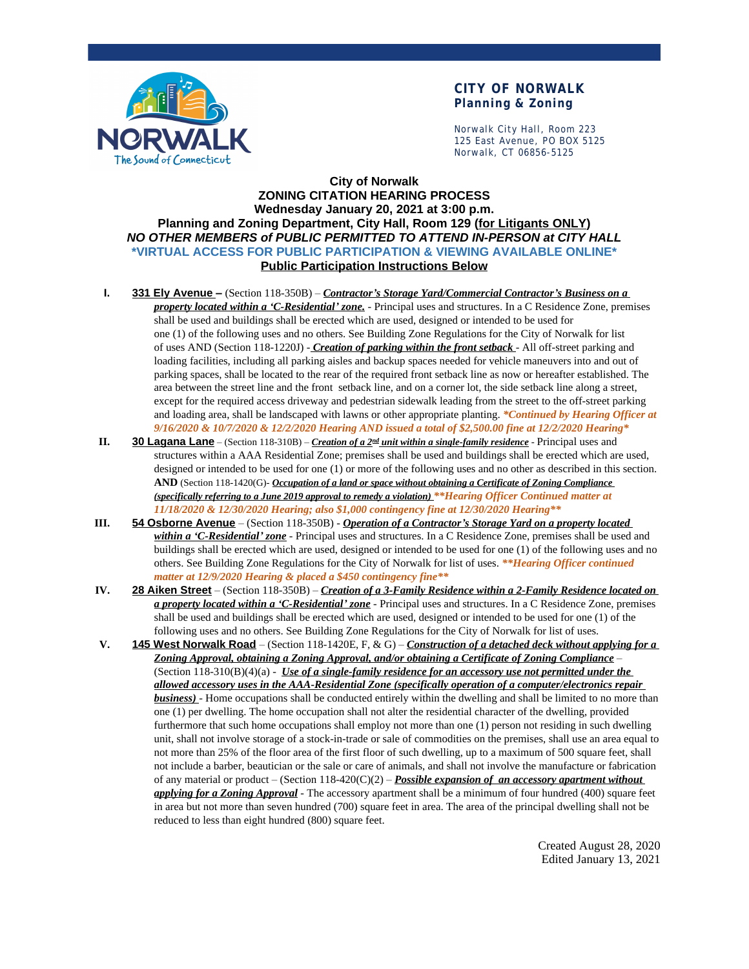

## **CITY OF NORWALK Planning & Zoning**

Norwalk City Hall, Room 223 125 East Avenue, PO BOX 5125 Norwalk, CT 06856-5125

## **City of Norwalk ZONING CITATION HEARING PROCESS Wednesday January 20, 2021 at 3:00 p.m. Planning and Zoning Department, City Hall, Room 129 (for Litigants ONLY)** *NO OTHER MEMBERS of PUBLIC PERMITTED TO ATTEND IN-PERSON at CITY HALL* **\*VIRTUAL ACCESS FOR PUBLIC PARTICIPATION & VIEWING AVAILABLE ONLINE\* Public Participation Instructions Below**

- **I. 331 Ely Avenue –** (Section 118-350B) *Contractor's Storage Yard/Commercial Contractor's Business on a property located within a 'C-Residential' zone.* - Principal uses and structures. In a C Residence Zone, premises shall be used and buildings shall be erected which are used, designed or intended to be used for one (1) of the following uses and no others. See Building Zone Regulations for the City of Norwalk for list of uses AND (Section 118-1220J) - *Creation of parking within the front setback* - All off-street parking and loading facilities, including all parking aisles and backup spaces needed for vehicle maneuvers into and out of parking spaces, shall be located to the rear of the required front setback line as now or hereafter established. The area between the street line and the front setback line, and on a corner lot, the side setback line along a street, except for the required access driveway and pedestrian sidewalk leading from the street to the off-street parking and loading area, shall be landscaped with lawns or other appropriate planting. *\*Continued by Hearing Officer at 9/16/2020 & 10/7/2020 & 12/2/2020 Hearing AND issued a total of \$2,500.00 fine at 12/2/2020 Hearing\**
- **II. 30 Lagana Lane** (Section 118-310B) *Creation of a 2nd unit within a single-family residence* Principal uses and structures within a AAA Residential Zone; premises shall be used and buildings shall be erected which are used, designed or intended to be used for one (1) or more of the following uses and no other as described in this section. **AND** (Section 118-1420(G)- *Occupation of a land or space without obtaining a Certificate of Zoning Compliance (specifically referring to a June 2019 approval to remedy a violation) \*\*Hearing Officer Continued matter at 11/18/2020 & 12/30/2020 Hearing; also \$1,000 contingency fine at 12/30/2020 Hearing\*\**
- **III. 54 Osborne Avenue** (Section 118-350B) *Operation of a Contractor's Storage Yard on a property located within a 'C-Residential' zone* - Principal uses and structures. In a C Residence Zone, premises shall be used and buildings shall be erected which are used, designed or intended to be used for one (1) of the following uses and no others. See Building Zone Regulations for the City of Norwalk for list of uses. *\*\*Hearing Officer continued matter at 12/9/2020 Hearing & placed a \$450 contingency fine\*\**
- **IV. 28 Aiken Street** (Section 118-350B) *Creation of a 3-Family Residence within a 2-Family Residence located on a property located within a 'C-Residential' zone* - Principal uses and structures. In a C Residence Zone, premises shall be used and buildings shall be erected which are used, designed or intended to be used for one (1) of the following uses and no others. See Building Zone Regulations for the City of Norwalk for list of uses.
- **V. 145 West Norwalk Road** (Section 118-1420E, F, & G) *Construction of a detached deck without applying for a Zoning Approval, obtaining a Zoning Approval, and/or obtaining a Certificate of Zoning Compliance* – (Section 118-310(B)(4)(a) - *Use of a single-family residence for an accessory use not permitted under the allowed accessory uses in the AAA-Residential Zone (specifically operation of a computer/electronics repair business)* - Home occupations shall be conducted entirely within the dwelling and shall be limited to no more than one (1) per dwelling. The home occupation shall not alter the residential character of the dwelling, provided furthermore that such home occupations shall employ not more than one (1) person not residing in such dwelling unit, shall not involve storage of a stock-in-trade or sale of commodities on the premises, shall use an area equal to not more than 25% of the floor area of the first floor of such dwelling, up to a maximum of 500 square feet, shall not include a barber, beautician or the sale or care of animals, and shall not involve the manufacture or fabrication of any material or product – (Section 118-420(C)(2) – *Possible expansion of an accessory apartment without applying for a Zoning Approval* - The accessory apartment shall be a minimum of four hundred (400) square feet in area but not more than seven hundred (700) square feet in area. The area of the principal dwelling shall not be reduced to less than eight hundred (800) square feet.

Created August 28, 2020 Edited January 13, 2021